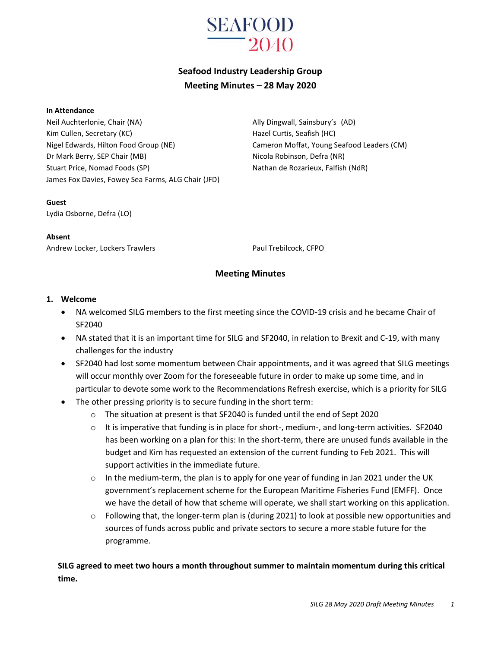

# **Seafood Industry Leadership Group Meeting Minutes – 28 May 2020**

#### **In Attendance**

Neil Auchterlonie, Chair (NA) Ally Dingwall, Sainsbury's (AD) Kim Cullen, Secretary (KC) The Curtis, Seafish (HC) Hazel Curtis, Seafish (HC) Nigel Edwards, Hilton Food Group (NE) Cameron Moffat, Young Seafood Leaders (CM) Dr Mark Berry, SEP Chair (MB) Nicola Robinson, Defra (NR) Stuart Price, Nomad Foods (SP) Nathan de Rozarieux, Falfish (NdR) James Fox Davies, Fowey Sea Farms, ALG Chair (JFD)

**Guest**

Lydia Osborne, Defra (LO)

#### **Absent**

Andrew Locker, Lockers Trawlers **Paul Trebilcock, CFPO** 

#### **Meeting Minutes**

#### **1. Welcome**

- NA welcomed SILG members to the first meeting since the COVID-19 crisis and he became Chair of SF2040
- NA stated that it is an important time for SILG and SF2040, in relation to Brexit and C-19, with many challenges for the industry
- SF2040 had lost some momentum between Chair appointments, and it was agreed that SILG meetings will occur monthly over Zoom for the foreseeable future in order to make up some time, and in particular to devote some work to the Recommendations Refresh exercise, which is a priority for SILG
- The other pressing priority is to secure funding in the short term:
	- $\circ$  The situation at present is that SF2040 is funded until the end of Sept 2020
	- o It is imperative that funding is in place for short-, medium-, and long-term activities. SF2040 has been working on a plan for this: In the short-term, there are unused funds available in the budget and Kim has requested an extension of the current funding to Feb 2021. This will support activities in the immediate future.
	- $\circ$  In the medium-term, the plan is to apply for one year of funding in Jan 2021 under the UK government's replacement scheme for the European Maritime Fisheries Fund (EMFF). Once we have the detail of how that scheme will operate, we shall start working on this application.
	- $\circ$  Following that, the longer-term plan is (during 2021) to look at possible new opportunities and sources of funds across public and private sectors to secure a more stable future for the programme.

**SILG agreed to meet two hours a month throughout summer to maintain momentum during this critical time.**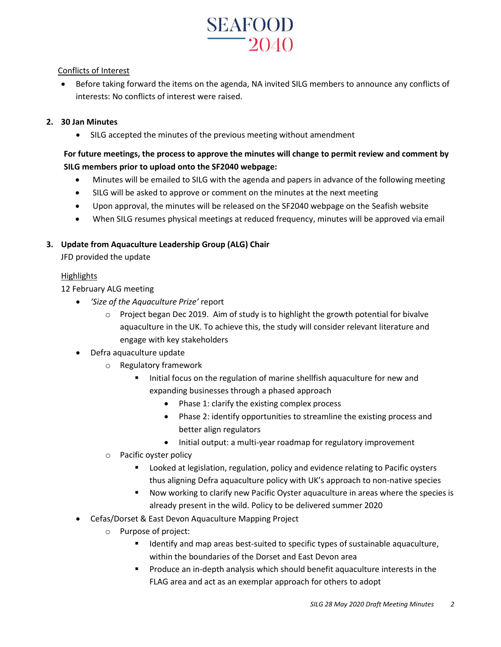

#### Conflicts of Interest

 Before taking forward the items on the agenda, NA invited SILG members to announce any conflicts of interests: No conflicts of interest were raised.

#### **2. 30 Jan Minutes**

SILG accepted the minutes of the previous meeting without amendment

# **For future meetings, the process to approve the minutes will change to permit review and comment by SILG members prior to upload onto the SF2040 webpage:**

- Minutes will be emailed to SILG with the agenda and papers in advance of the following meeting
- SILG will be asked to approve or comment on the minutes at the next meeting
- Upon approval, the minutes will be released on the SF2040 webpage on the Seafish website
- When SILG resumes physical meetings at reduced frequency, minutes will be approved via email

#### **3. Update from Aquaculture Leadership Group (ALG) Chair**

JFD provided the update

#### Highlights

12 February ALG meeting

- *'Size of the Aquaculture Prize'* report
	- $\circ$  Project began Dec 2019. Aim of study is to highlight the growth potential for bivalve aquaculture in the UK. To achieve this, the study will consider relevant literature and engage with key stakeholders
- Defra aquaculture update
	- o Regulatory framework
		- Initial focus on the regulation of marine shellfish aquaculture for new and expanding businesses through a phased approach
			- Phase 1: clarify the existing complex process
			- Phase 2: identify opportunities to streamline the existing process and better align regulators
			- Initial output: a multi-year roadmap for regulatory improvement
	- o Pacific oyster policy
		- **EXTE:** Looked at legislation, regulation, policy and evidence relating to Pacific oysters thus aligning Defra aquaculture policy with UK's approach to non-native species
		- Now working to clarify new Pacific Oyster aquaculture in areas where the species is already present in the wild. Policy to be delivered summer 2020
- Cefas/Dorset & East Devon Aquaculture Mapping Project
	- o Purpose of project:
		- Identify and map areas best-suited to specific types of sustainable aquaculture, within the boundaries of the Dorset and East Devon area
		- **Produce an in-depth analysis which should benefit aquaculture interests in the** FLAG area and act as an exemplar approach for others to adopt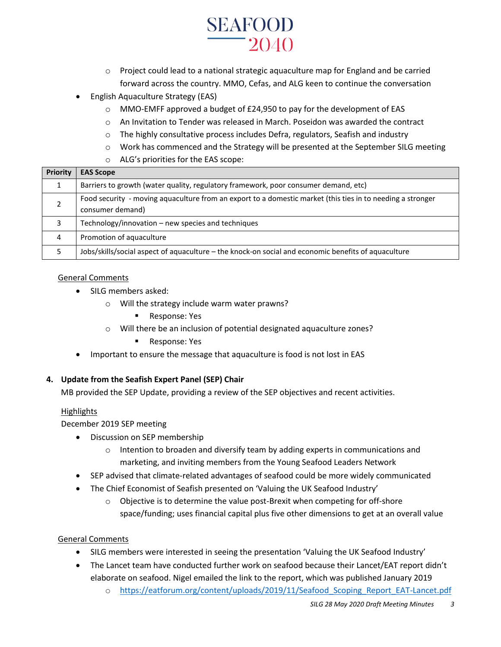# **SEAFOOD**  $-2040$

- $\circ$  Project could lead to a national strategic aquaculture map for England and be carried forward across the country. MMO, Cefas, and ALG keen to continue the conversation
- English Aquaculture Strategy (EAS)
	- $\circ$  MMO-EMFF approved a budget of £24,950 to pay for the development of EAS
	- o An Invitation to Tender was released in March. Poseidon was awarded the contract
	- o The highly consultative process includes Defra, regulators, Seafish and industry
	- o Work has commenced and the Strategy will be presented at the September SILG meeting
	- o ALG's priorities for the EAS scope:

| Priority | <b>EAS Scope</b>                                                                                                               |
|----------|--------------------------------------------------------------------------------------------------------------------------------|
|          | Barriers to growth (water quality, regulatory framework, poor consumer demand, etc)                                            |
|          | Food security - moving aquaculture from an export to a domestic market (this ties in to needing a stronger<br>consumer demand) |
| 3        | Technology/innovation – new species and techniques                                                                             |
| 4        | Promotion of aquaculture                                                                                                       |
|          | Jobs/skills/social aspect of aquaculture - the knock-on social and economic benefits of aquaculture                            |

## General Comments

- SILG members asked:
	- o Will the strategy include warm water prawns?
		- Response: Yes
	- o Will there be an inclusion of potential designated aquaculture zones?
		- **Response: Yes**
- Important to ensure the message that aquaculture is food is not lost in EAS

## **4. Update from the Seafish Expert Panel (SEP) Chair**

MB provided the SEP Update, providing a review of the SEP objectives and recent activities.

## **Highlights**

December 2019 SEP meeting

- Discussion on SEP membership
	- $\circ$  Intention to broaden and diversify team by adding experts in communications and marketing, and inviting members from the Young Seafood Leaders Network
- SEP advised that climate-related advantages of seafood could be more widely communicated
- The Chief Economist of Seafish presented on 'Valuing the UK Seafood Industry'
	- o Objective is to determine the value post-Brexit when competing for off-shore space/funding; uses financial capital plus five other dimensions to get at an overall value

#### General Comments

- SILG members were interested in seeing the presentation 'Valuing the UK Seafood Industry'
- The Lancet team have conducted further work on seafood because their Lancet/EAT report didn't elaborate on seafood. Nigel emailed the link to the report, which was published January 2019
	- o https://eatforum.org/content/uploads/2019/11/Seafood Scoping Report EAT-Lancet.pdf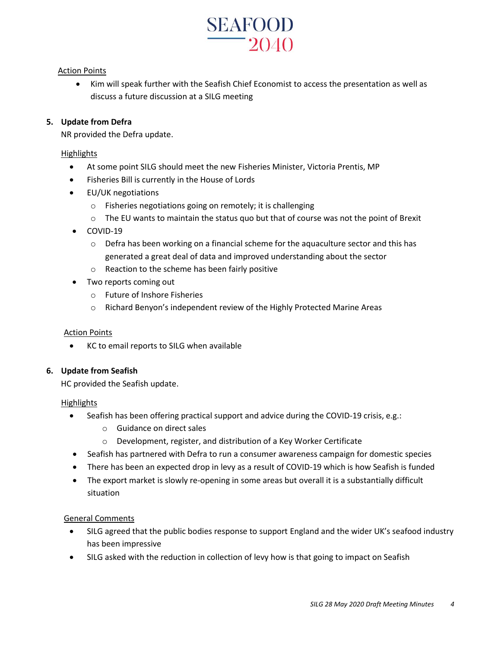

#### **Action Points**

 Kim will speak further with the Seafish Chief Economist to access the presentation as well as discuss a future discussion at a SILG meeting

#### **5. Update from Defra**

NR provided the Defra update.

#### **Highlights**

- At some point SILG should meet the new Fisheries Minister, Victoria Prentis, MP
- Fisheries Bill is currently in the House of Lords
- EU/UK negotiations
	- o Fisheries negotiations going on remotely; it is challenging
	- o The EU wants to maintain the status quo but that of course was not the point of Brexit
- COVID-19
	- $\circ$  Defra has been working on a financial scheme for the aquaculture sector and this has generated a great deal of data and improved understanding about the sector
	- o Reaction to the scheme has been fairly positive
- Two reports coming out
	- o Future of Inshore Fisheries
	- o Richard Benyon's independent review of the Highly Protected Marine Areas

#### Action Points

KC to email reports to SILG when available

#### **6. Update from Seafish**

HC provided the Seafish update.

#### **Highlights**

- Seafish has been offering practical support and advice during the COVID-19 crisis, e.g.:
	- o Guidance on direct sales
	- o Development, register, and distribution of a Key Worker Certificate
- Seafish has partnered with Defra to run a consumer awareness campaign for domestic species
- There has been an expected drop in levy as a result of COVID-19 which is how Seafish is funded
- The export market is slowly re-opening in some areas but overall it is a substantially difficult situation

#### General Comments

- SILG agreed that the public bodies response to support England and the wider UK's seafood industry has been impressive
- SILG asked with the reduction in collection of levy how is that going to impact on Seafish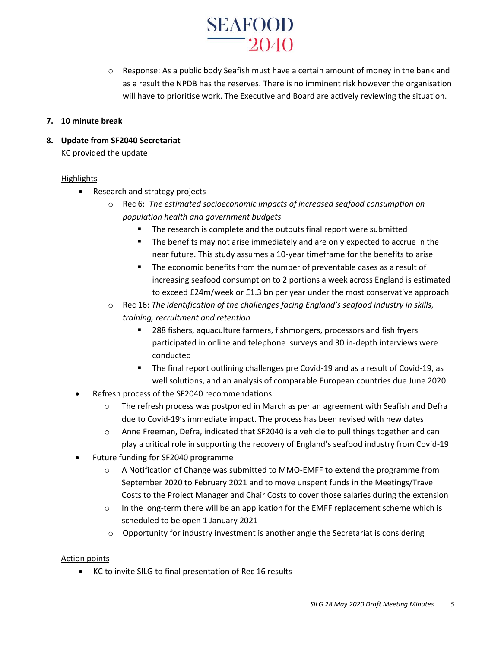

 $\circ$  Response: As a public body Seafish must have a certain amount of money in the bank and as a result the NPDB has the reserves. There is no imminent risk however the organisation will have to prioritise work. The Executive and Board are actively reviewing the situation.

#### **7. 10 minute break**

**8. Update from SF2040 Secretariat** 

KC provided the update

#### **Highlights**

- Research and strategy projects
	- o Rec 6: *The estimated socioeconomic impacts of increased seafood consumption on population health and government budgets*
		- The research is complete and the outputs final report were submitted
		- The benefits may not arise immediately and are only expected to accrue in the near future. This study assumes a 10-year timeframe for the benefits to arise
		- The economic benefits from the number of preventable cases as a result of increasing seafood consumption to 2 portions a week across England is estimated to exceed £24m/week or £1.3 bn per year under the most conservative approach
	- o Rec 16: *The identification of the challenges facing England's seafood industry in skills, training, recruitment and retention*
		- 288 fishers, aquaculture farmers, fishmongers, processors and fish fryers participated in online and telephone surveys and 30 in-depth interviews were conducted
		- **The final report outlining challenges pre Covid-19 and as a result of Covid-19, as** well solutions, and an analysis of comparable European countries due June 2020
- Refresh process of the SF2040 recommendations
	- $\circ$  The refresh process was postponed in March as per an agreement with Seafish and Defra due to Covid-19's immediate impact. The process has been revised with new dates
	- o Anne Freeman, Defra, indicated that SF2040 is a vehicle to pull things together and can play a critical role in supporting the recovery of England's seafood industry from Covid-19
- Future funding for SF2040 programme
	- o A Notification of Change was submitted to MMO-EMFF to extend the programme from September 2020 to February 2021 and to move unspent funds in the Meetings/Travel Costs to the Project Manager and Chair Costs to cover those salaries during the extension
	- o In the long-term there will be an application for the EMFF replacement scheme which is scheduled to be open 1 January 2021
	- $\circ$  Opportunity for industry investment is another angle the Secretariat is considering

#### Action points

KC to invite SILG to final presentation of Rec 16 results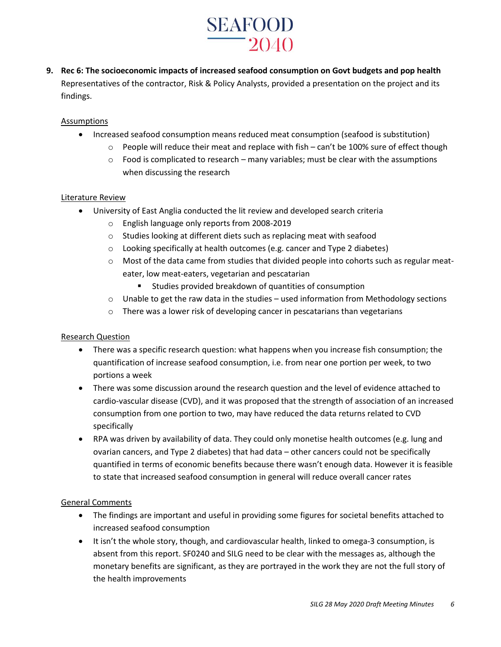# **SEAFOOD**  $-2040$

**9. Rec 6: The socioeconomic impacts of increased seafood consumption on Govt budgets and pop health** Representatives of the contractor, Risk & Policy Analysts, provided a presentation on the project and its findings.

## **Assumptions**

- Increased seafood consumption means reduced meat consumption (seafood is substitution)
	- $\circ$  People will reduce their meat and replace with fish can't be 100% sure of effect though
	- $\circ$  Food is complicated to research many variables; must be clear with the assumptions when discussing the research

#### Literature Review

- University of East Anglia conducted the lit review and developed search criteria
	- o English language only reports from 2008-2019
	- o Studies looking at different diets such as replacing meat with seafood
	- o Looking specifically at health outcomes (e.g. cancer and Type 2 diabetes)
	- $\circ$  Most of the data came from studies that divided people into cohorts such as regular meateater, low meat-eaters, vegetarian and pescatarian
		- Studies provided breakdown of quantities of consumption
	- $\circ$  Unable to get the raw data in the studies used information from Methodology sections
	- o There was a lower risk of developing cancer in pescatarians than vegetarians

#### Research Question

- There was a specific research question: what happens when you increase fish consumption; the quantification of increase seafood consumption, i.e. from near one portion per week, to two portions a week
- There was some discussion around the research question and the level of evidence attached to cardio-vascular disease (CVD), and it was proposed that the strength of association of an increased consumption from one portion to two, may have reduced the data returns related to CVD specifically
- RPA was driven by availability of data. They could only monetise health outcomes (e.g. lung and ovarian cancers, and Type 2 diabetes) that had data – other cancers could not be specifically quantified in terms of economic benefits because there wasn't enough data. However it is feasible to state that increased seafood consumption in general will reduce overall cancer rates

#### General Comments

- The findings are important and useful in providing some figures for societal benefits attached to increased seafood consumption
- It isn't the whole story, though, and cardiovascular health, linked to omega-3 consumption, is absent from this report. SF0240 and SILG need to be clear with the messages as, although the monetary benefits are significant, as they are portrayed in the work they are not the full story of the health improvements